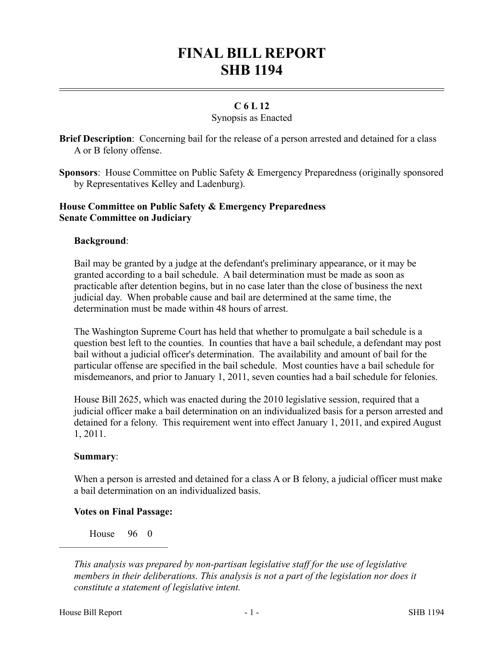# **FINAL BILL REPORT SHB 1194**

## **C 6 L 12**

### Synopsis as Enacted

**Brief Description**: Concerning bail for the release of a person arrested and detained for a class A or B felony offense.

**Sponsors**: House Committee on Public Safety & Emergency Preparedness (originally sponsored by Representatives Kelley and Ladenburg).

#### **House Committee on Public Safety & Emergency Preparedness Senate Committee on Judiciary**

#### **Background**:

Bail may be granted by a judge at the defendant's preliminary appearance, or it may be granted according to a bail schedule. A bail determination must be made as soon as practicable after detention begins, but in no case later than the close of business the next judicial day. When probable cause and bail are determined at the same time, the determination must be made within 48 hours of arrest.

The Washington Supreme Court has held that whether to promulgate a bail schedule is a question best left to the counties. In counties that have a bail schedule, a defendant may post bail without a judicial officer's determination. The availability and amount of bail for the particular offense are specified in the bail schedule. Most counties have a bail schedule for misdemeanors, and prior to January 1, 2011, seven counties had a bail schedule for felonies.

House Bill 2625, which was enacted during the 2010 legislative session, required that a judicial officer make a bail determination on an individualized basis for a person arrested and detained for a felony. This requirement went into effect January 1, 2011, and expired August 1, 2011.

#### **Summary**:

When a person is arrested and detained for a class A or B felony, a judicial officer must make a bail determination on an individualized basis.

#### **Votes on Final Passage:**

House 96 0

––––––––––––––––––––––

*This analysis was prepared by non-partisan legislative staff for the use of legislative members in their deliberations. This analysis is not a part of the legislation nor does it constitute a statement of legislative intent.*